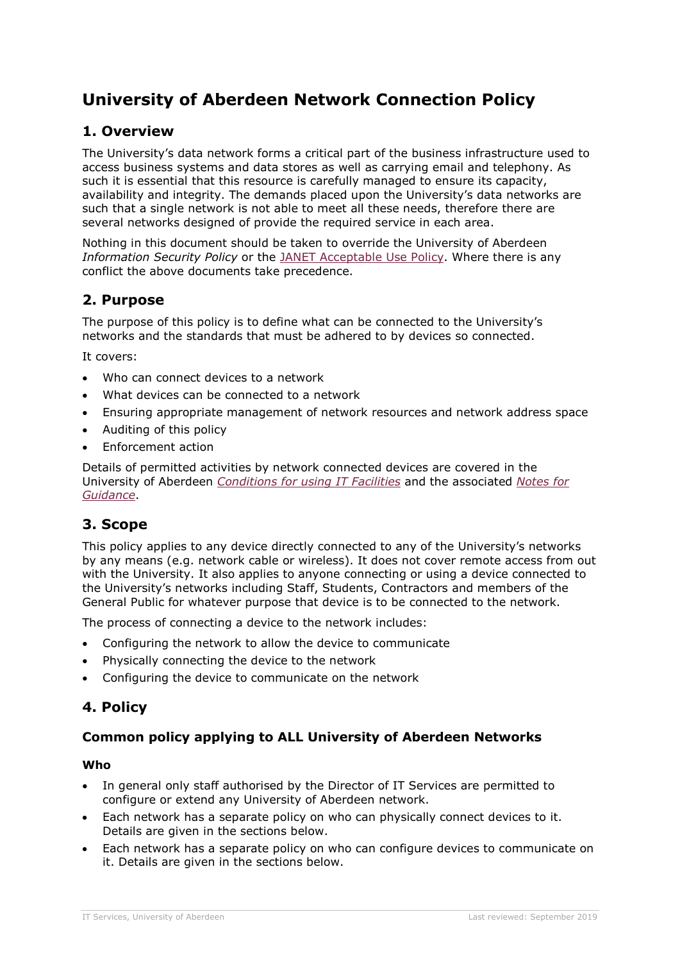# **University of Aberdeen Network Connection Policy**

# **1. Overview**

The University's data network forms a critical part of the business infrastructure used to access business systems and data stores as well as carrying email and telephony. As such it is essential that this resource is carefully managed to ensure its capacity, availability and integrity. The demands placed upon the University's data networks are such that a single network is not able to meet all these needs, therefore there are several networks designed of provide the required service in each area.

Nothing in this document should be taken to override the University of Aberdeen *Information Security Policy* or the [JANET Acceptable Use Policy.](https://community.jisc.ac.uk/library/janet-policies) Where there is any conflict the above documents take precedence.

# **2. Purpose**

The purpose of this policy is to define what can be connected to the University's networks and the standards that must be adhered to by devices so connected.

It covers:

- Who can connect devices to a network
- What devices can be connected to a network
- Ensuring appropriate management of network resources and network address space
- Auditing of this policy
- Enforcement action

Details of permitted activities by network connected devices are covered in the University of Aberdeen *[Conditions for using IT Facilities](https://www.abdn.ac.uk/staffnet/documents/policy-zone-information-policies/DIT_cond-IT.pdf)* and the associated *[Notes for](https://www.abdn.ac.uk/staffnet/documents/policy-zone-information-policies/DIT_cond-IT-guide.pdf)  [Guidance](https://www.abdn.ac.uk/staffnet/documents/policy-zone-information-policies/DIT_cond-IT-guide.pdf)*.

### **3. Scope**

This policy applies to any device directly connected to any of the University's networks by any means (e.g. network cable or wireless). It does not cover remote access from out with the University. It also applies to anyone connecting or using a device connected to the University's networks including Staff, Students, Contractors and members of the General Public for whatever purpose that device is to be connected to the network.

The process of connecting a device to the network includes:

- Configuring the network to allow the device to communicate
- Physically connecting the device to the network
- Configuring the device to communicate on the network

### **4. Policy**

### **Common policy applying to ALL University of Aberdeen Networks**

### **Who**

- In general only staff authorised by the Director of IT Services are permitted to configure or extend any University of Aberdeen network.
- Each network has a separate policy on who can physically connect devices to it. Details are given in the sections below.
- Each network has a separate policy on who can configure devices to communicate on it. Details are given in the sections below.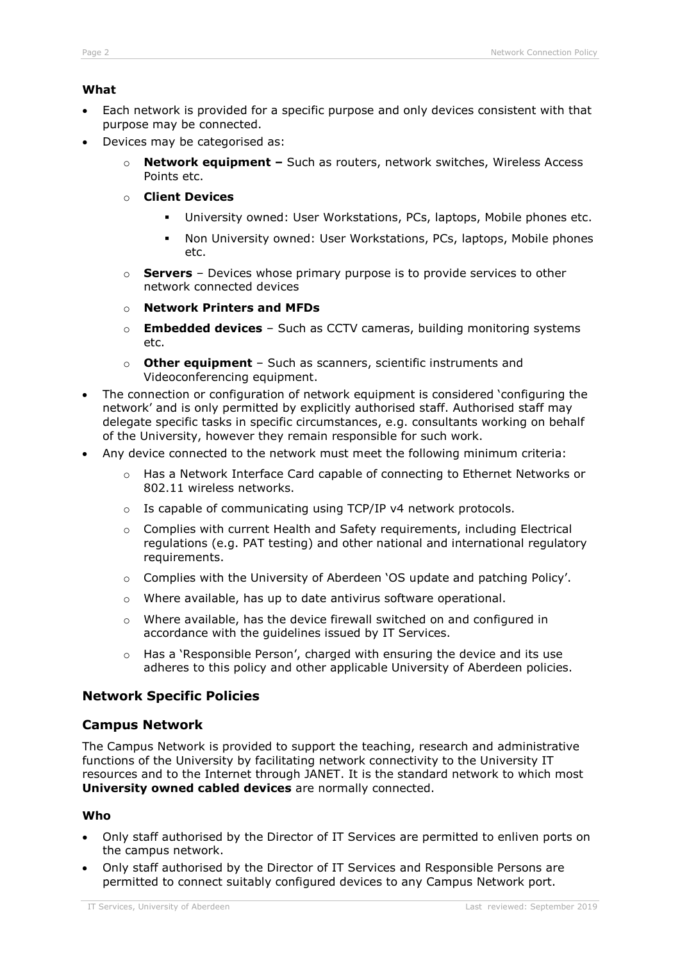### **What**

- Each network is provided for a specific purpose and only devices consistent with that purpose may be connected.
- Devices may be categorised as:
	- o **Network equipment –** Such as routers, network switches, Wireless Access Points etc.
	- o **Client Devices**
		- University owned: User Workstations, PCs, laptops, Mobile phones etc.
		- Non University owned: User Workstations, PCs, laptops, Mobile phones etc.
	- o **Servers** Devices whose primary purpose is to provide services to other network connected devices
	- o **Network Printers and MFDs**
	- o **Embedded devices** Such as CCTV cameras, building monitoring systems etc.
	- o **Other equipment** Such as scanners, scientific instruments and Videoconferencing equipment.
- The connection or configuration of network equipment is considered 'configuring the network' and is only permitted by explicitly authorised staff. Authorised staff may delegate specific tasks in specific circumstances, e.g. consultants working on behalf of the University, however they remain responsible for such work.
- Any device connected to the network must meet the following minimum criteria:
	- o Has a Network Interface Card capable of connecting to Ethernet Networks or 802.11 wireless networks.
	- o Is capable of communicating using TCP/IP v4 network protocols.
	- $\circ$  Complies with current Health and Safety requirements, including Electrical regulations (e.g. PAT testing) and other national and international regulatory requirements.
	- o Complies with the University of Aberdeen 'OS update and patching Policy'.
	- o Where available, has up to date antivirus software operational.
	- o Where available, has the device firewall switched on and configured in accordance with the guidelines issued by IT Services.
	- $\circ$  Has a 'Responsible Person', charged with ensuring the device and its use adheres to this policy and other applicable University of Aberdeen policies.

### **Network Specific Policies**

### **Campus Network**

The Campus Network is provided to support the teaching, research and administrative functions of the University by facilitating network connectivity to the University IT resources and to the Internet through JANET. It is the standard network to which most **University owned cabled devices** are normally connected.

#### **Who**

- Only staff authorised by the Director of IT Services are permitted to enliven ports on the campus network.
- Only staff authorised by the Director of IT Services and Responsible Persons are permitted to connect suitably configured devices to any Campus Network port.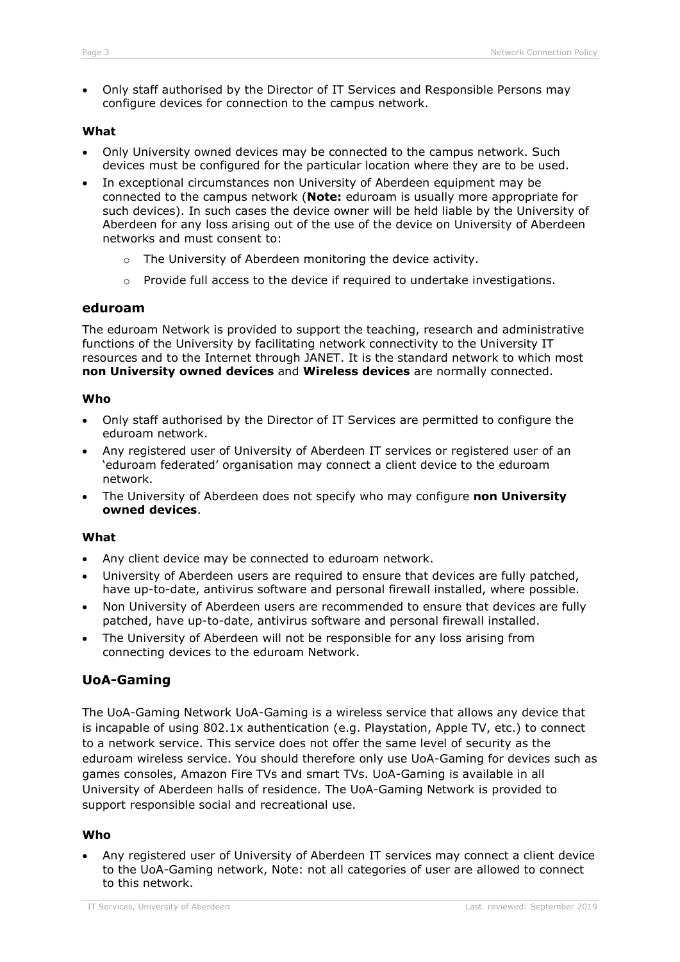• Only staff authorised by the Director of IT Services and Responsible Persons may configure devices for connection to the campus network.

### **What**

- Only University owned devices may be connected to the campus network. Such devices must be configured for the particular location where they are to be used.
- In exceptional circumstances non University of Aberdeen equipment may be connected to the campus network (**Note:** eduroam is usually more appropriate for such devices). In such cases the device owner will be held liable by the University of Aberdeen for any loss arising out of the use of the device on University of Aberdeen networks and must consent to:
	- o The University of Aberdeen monitoring the device activity.
	- o Provide full access to the device if required to undertake investigations.

### **eduroam**

The eduroam Network is provided to support the teaching, research and administrative functions of the University by facilitating network connectivity to the University IT resources and to the Internet through JANET. It is the standard network to which most **non University owned devices** and **Wireless devices** are normally connected.

#### **Who**

- Only staff authorised by the Director of IT Services are permitted to configure the eduroam network.
- Any registered user of University of Aberdeen IT services or registered user of an 'eduroam federated' organisation may connect a client device to the eduroam network.
- The University of Aberdeen does not specify who may configure **non University owned devices**.

#### **What**

- Any client device may be connected to eduroam network.
- University of Aberdeen users are required to ensure that devices are fully patched, have up-to-date, antivirus software and personal firewall installed, where possible.
- Non University of Aberdeen users are recommended to ensure that devices are fully patched, have up-to-date, antivirus software and personal firewall installed.
- The University of Aberdeen will not be responsible for any loss arising from connecting devices to the eduroam Network.

### **UoA-Gaming**

The UoA-Gaming Network UoA-Gaming is a wireless service that allows any device that is incapable of using 802.1x authentication (e.g. Playstation, Apple TV, etc.) to connect to a network service. This service does not offer the same level of security as the eduroam wireless service. You should therefore only use UoA-Gaming for devices such as games consoles, Amazon Fire TVs and smart TVs. UoA-Gaming is available in all University of Aberdeen halls of residence. The UoA-Gaming Network is provided to support responsible social and recreational use.

#### **Who**

• Any registered user of University of Aberdeen IT services may connect a client device to the UoA-Gaming network, Note: not all categories of user are allowed to connect to this network.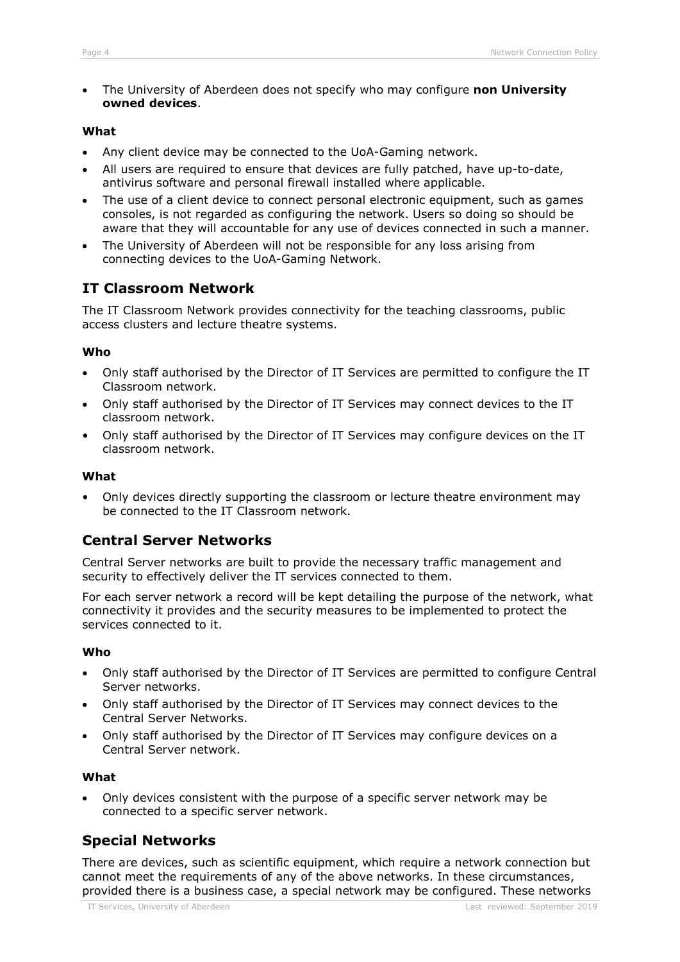• The University of Aberdeen does not specify who may configure **non University owned devices**.

### **What**

- Any client device may be connected to the UoA-Gaming network.
- All users are required to ensure that devices are fully patched, have up-to-date, antivirus software and personal firewall installed where applicable.
- The use of a client device to connect personal electronic equipment, such as games consoles, is not regarded as configuring the network. Users so doing so should be aware that they will accountable for any use of devices connected in such a manner.
- The University of Aberdeen will not be responsible for any loss arising from connecting devices to the UoA-Gaming Network.

### **IT Classroom Network**

The IT Classroom Network provides connectivity for the teaching classrooms, public access clusters and lecture theatre systems.

### **Who**

- Only staff authorised by the Director of IT Services are permitted to configure the IT Classroom network.
- Only staff authorised by the Director of IT Services may connect devices to the IT classroom network.
- Only staff authorised by the Director of IT Services may configure devices on the IT classroom network.

### **What**

• Only devices directly supporting the classroom or lecture theatre environment may be connected to the IT Classroom network.

### **Central Server Networks**

Central Server networks are built to provide the necessary traffic management and security to effectively deliver the IT services connected to them.

For each server network a record will be kept detailing the purpose of the network, what connectivity it provides and the security measures to be implemented to protect the services connected to it.

### **Who**

- Only staff authorised by the Director of IT Services are permitted to configure Central Server networks.
- Only staff authorised by the Director of IT Services may connect devices to the Central Server Networks.
- Only staff authorised by the Director of IT Services may configure devices on a Central Server network.

#### **What**

• Only devices consistent with the purpose of a specific server network may be connected to a specific server network.

# **Special Networks**

There are devices, such as scientific equipment, which require a network connection but cannot meet the requirements of any of the above networks. In these circumstances, provided there is a business case, a special network may be configured. These networks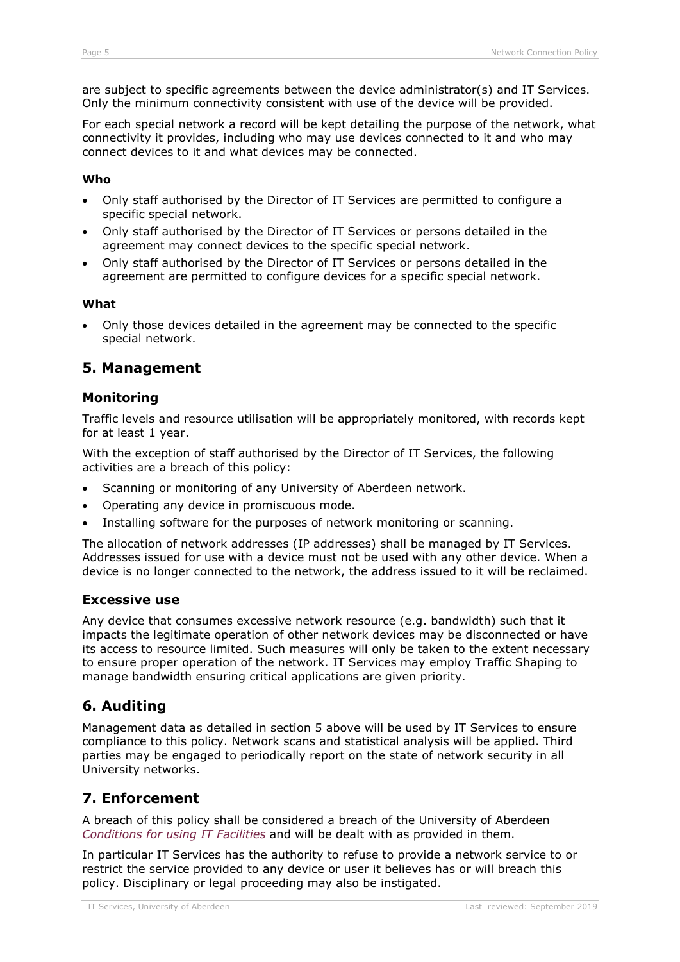are subject to specific agreements between the device administrator(s) and IT Services. Only the minimum connectivity consistent with use of the device will be provided.

For each special network a record will be kept detailing the purpose of the network, what connectivity it provides, including who may use devices connected to it and who may connect devices to it and what devices may be connected.

### **Who**

- Only staff authorised by the Director of IT Services are permitted to configure a specific special network.
- Only staff authorised by the Director of IT Services or persons detailed in the agreement may connect devices to the specific special network.
- Only staff authorised by the Director of IT Services or persons detailed in the agreement are permitted to configure devices for a specific special network.

### **What**

• Only those devices detailed in the agreement may be connected to the specific special network.

### **5. Management**

### **Monitoring**

Traffic levels and resource utilisation will be appropriately monitored, with records kept for at least 1 year.

With the exception of staff authorised by the Director of IT Services, the following activities are a breach of this policy:

- Scanning or monitoring of any University of Aberdeen network.
- Operating any device in promiscuous mode.
- Installing software for the purposes of network monitoring or scanning.

The allocation of network addresses (IP addresses) shall be managed by IT Services. Addresses issued for use with a device must not be used with any other device. When a device is no longer connected to the network, the address issued to it will be reclaimed.

### **Excessive use**

Any device that consumes excessive network resource (e.g. bandwidth) such that it impacts the legitimate operation of other network devices may be disconnected or have its access to resource limited. Such measures will only be taken to the extent necessary to ensure proper operation of the network. IT Services may employ Traffic Shaping to manage bandwidth ensuring critical applications are given priority.

### **6. Auditing**

Management data as detailed in section 5 above will be used by IT Services to ensure compliance to this policy. Network scans and statistical analysis will be applied. Third parties may be engaged to periodically report on the state of network security in all University networks.

# **7. Enforcement**

A breach of this policy shall be considered a breach of the University of Aberdeen *[Conditions for using IT Facilities](https://www.abdn.ac.uk/staffnet/documents/policy-zone-information-policies/DIT_cond-IT.pdf)* and will be dealt with as provided in them.

In particular IT Services has the authority to refuse to provide a network service to or restrict the service provided to any device or user it believes has or will breach this policy. Disciplinary or legal proceeding may also be instigated.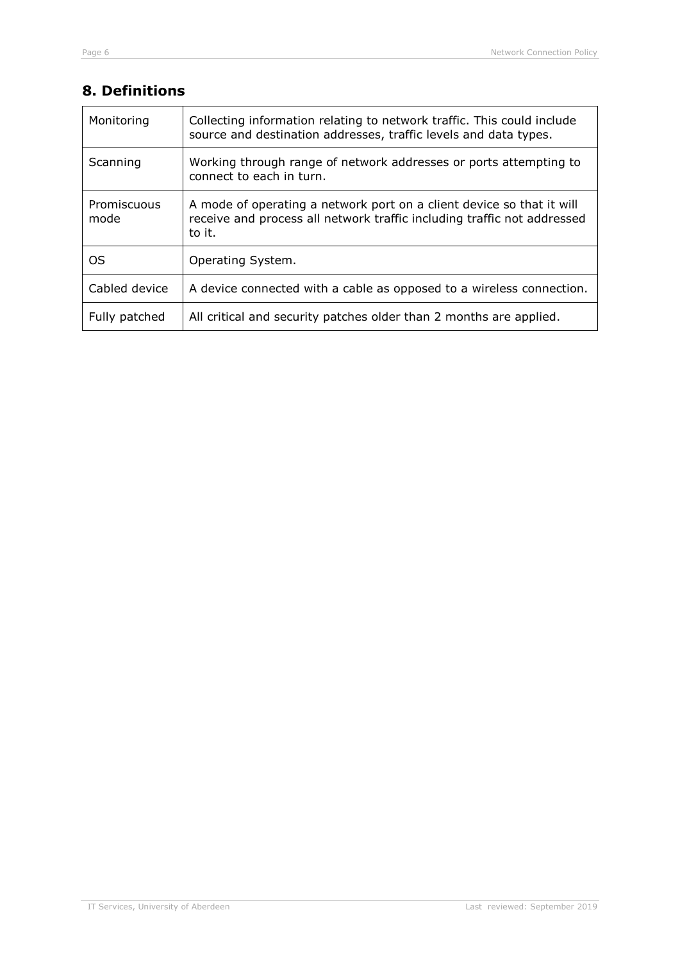# **8. Definitions**

| Monitoring          | Collecting information relating to network traffic. This could include<br>source and destination addresses, traffic levels and data types.                 |
|---------------------|------------------------------------------------------------------------------------------------------------------------------------------------------------|
| Scanning            | Working through range of network addresses or ports attempting to<br>connect to each in turn.                                                              |
| Promiscuous<br>mode | A mode of operating a network port on a client device so that it will<br>receive and process all network traffic including traffic not addressed<br>to it. |
| OS                  | Operating System.                                                                                                                                          |
| Cabled device       | A device connected with a cable as opposed to a wireless connection.                                                                                       |
| Fully patched       | All critical and security patches older than 2 months are applied.                                                                                         |